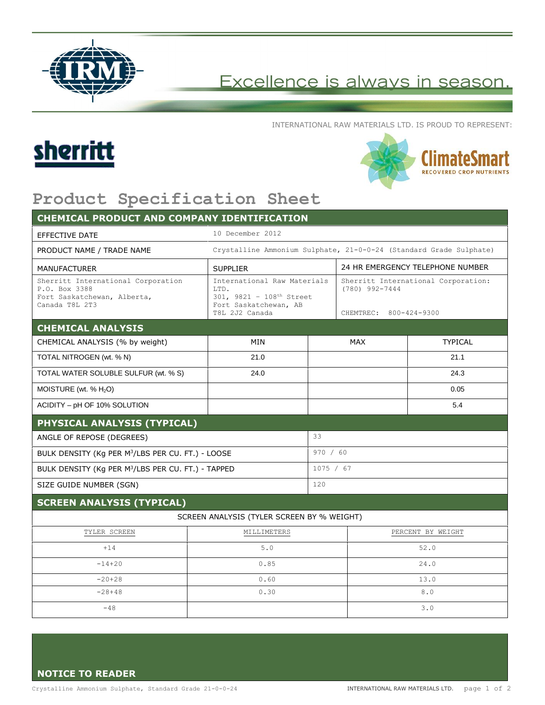

## Excellence is always in season.

INTERNATIONAL RAW MATERIALS LTD. IS PROUD TO REPRESENT:





## **Product Specification Sheet**

| <b>CHEMICAL PRODUCT AND COMPANY IDENTIFICATION</b>                                                   |                                                                                                            |           |                                                                                   |                |
|------------------------------------------------------------------------------------------------------|------------------------------------------------------------------------------------------------------------|-----------|-----------------------------------------------------------------------------------|----------------|
| <b>EFFECTIVE DATE</b>                                                                                | 10 December 2012                                                                                           |           |                                                                                   |                |
| PRODUCT NAME / TRADE NAME                                                                            | Crystalline Ammonium Sulphate, 21-0-0-24 (Standard Grade Sulphate)                                         |           |                                                                                   |                |
| <b>MANUFACTURER</b>                                                                                  | <b>SUPPLIER</b>                                                                                            |           | 24 HR EMERGENCY TELEPHONE NUMBER                                                  |                |
| Sherritt International Corporation<br>P.O. Box 3388<br>Fort Saskatchewan, Alberta,<br>Canada T8L 2T3 | International Raw Materials<br>LTD.<br>301, 9821 - 108th Street<br>Fort Saskatchewan, AB<br>T8L 2J2 Canada |           | Sherritt International Corporation:<br>$(780)$ 992-7444<br>CHEMTREC: 800-424-9300 |                |
| <b>CHEMICAL ANALYSIS</b>                                                                             |                                                                                                            |           |                                                                                   |                |
| CHEMICAL ANALYSIS (% by weight)                                                                      | <b>MIN</b>                                                                                                 |           | MAX                                                                               | <b>TYPICAL</b> |
| TOTAL NITROGEN (wt. % N)                                                                             | 21.0                                                                                                       |           |                                                                                   | 21.1           |
| TOTAL WATER SOLUBLE SULFUR (wt. % S)                                                                 | 24.0                                                                                                       |           |                                                                                   | 24.3           |
| MOISTURE (wt. % $H_2O$ )                                                                             |                                                                                                            |           |                                                                                   | 0.05           |
| ACIDITY - pH OF 10% SOLUTION                                                                         |                                                                                                            |           |                                                                                   | 5.4            |
| PHYSICAL ANALYSIS (TYPICAL)                                                                          |                                                                                                            |           |                                                                                   |                |
| ANGLE OF REPOSE (DEGREES)                                                                            |                                                                                                            | 33        |                                                                                   |                |
| BULK DENSITY (Kg PER M <sup>3</sup> /LBS PER CU. FT.) - LOOSE                                        |                                                                                                            | 970 / 60  |                                                                                   |                |
| BULK DENSITY (Kg PER M <sup>3</sup> /LBS PER CU. FT.) - TAPPED                                       |                                                                                                            | 1075 / 67 |                                                                                   |                |
| SIZE GUIDE NUMBER (SGN)                                                                              |                                                                                                            | 120       |                                                                                   |                |
| <b>SCREEN ANALYSIS (TYPICAL)</b>                                                                     |                                                                                                            |           |                                                                                   |                |
|                                                                                                      | SCREEN ANALYSIS (TYLER SCREEN BY % WEIGHT)                                                                 |           |                                                                                   |                |
| TYLER SCREEN                                                                                         | MILLIMETERS                                                                                                |           | PERCENT BY WEIGHT                                                                 |                |
| $+14$                                                                                                | 5.0                                                                                                        |           | 52.0                                                                              |                |
| $-14 + 20$                                                                                           | 0.85                                                                                                       |           | 24.0                                                                              |                |
| $-20+28$                                                                                             | 0.60                                                                                                       |           | 13.0                                                                              |                |
| $-28+48$                                                                                             | 0.30                                                                                                       |           | 8.0                                                                               |                |
|                                                                                                      |                                                                                                            |           |                                                                                   |                |

**NOTICE TO READER**